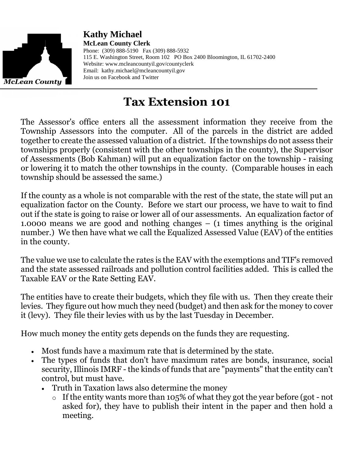

**Kathy Michael McLean County Clerk** Phone: (309) 888-5190 Fax (309) 888-5932 115 E. Washington Street, Room 102 PO Box 2400 Bloomington, IL 61702-2400 Website: www.mcleancountyil.gov/countyclerk Email: [kathy.michael@mcleancountyil.gov](mailto:kathy.michael@mcleancountyil.gov) Join us on Facebook and Twitter

## **Tax Extension 101**

The Assessor's office enters all the assessment information they receive from the Township Assessors into the computer. All of the parcels in the district are added together to create the assessed valuation of a district. If the townships do not assess their townships properly (consistent with the other townships in the county), the Supervisor of Assessments (Bob Kahman) will put an equalization factor on the township - raising or lowering it to match the other townships in the county. (Comparable houses in each township should be assessed the same.)

If the county as a whole is not comparable with the rest of the state, the state will put an equalization factor on the County. Before we start our process, we have to wait to find out if the state is going to raise or lower all of our assessments. An equalization factor of 1.0000 means we are good and nothing changes – (1 times anything is the original number.) We then have what we call the Equalized Assessed Value (EAV) of the entities in the county.

The value we use to calculate the rates is the EAV with the exemptions and TIF's removed and the state assessed railroads and pollution control facilities added. This is called the Taxable EAV or the Rate Setting EAV.

The entities have to create their budgets, which they file with us. Then they create their levies. They figure out how much they need (budget) and then ask for the money to cover it (levy). They file their levies with us by the last Tuesday in December.

How much money the entity gets depends on the funds they are requesting.

- Most funds have a maximum rate that is determined by the state.
- The types of funds that don't have maximum rates are bonds, insurance, social security, Illinois IMRF - the kinds of funds that are "payments" that the entity can't control, but must have.
	- Truth in Taxation laws also determine the money
		- o If the entity wants more than 105% of what they got the year before (got not asked for), they have to publish their intent in the paper and then hold a meeting.